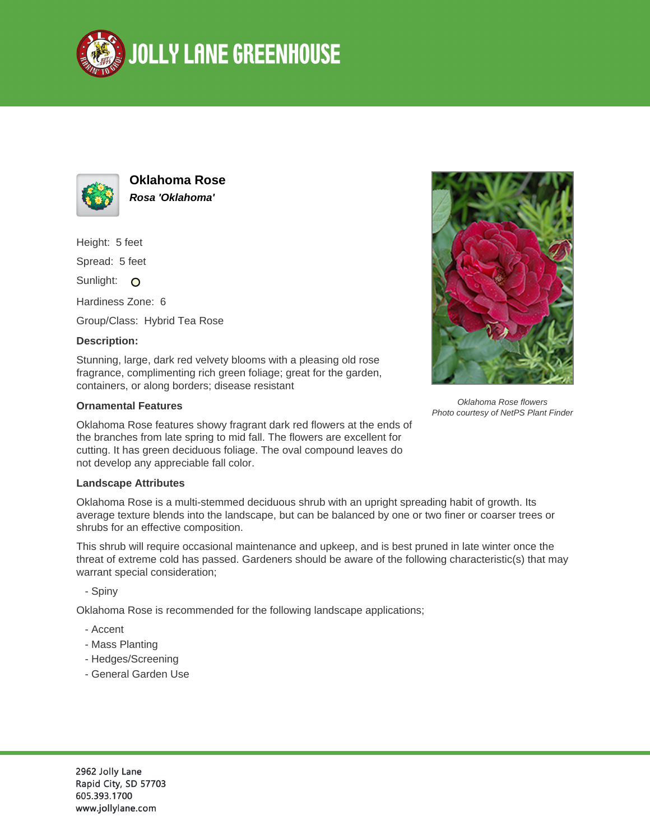



**Oklahoma Rose Rosa 'Oklahoma'**

Height: 5 feet

Spread: 5 feet

Sunlight: O

Hardiness Zone: 6

Group/Class: Hybrid Tea Rose

## **Description:**

Stunning, large, dark red velvety blooms with a pleasing old rose fragrance, complimenting rich green foliage; great for the garden, containers, or along borders; disease resistant

## **Ornamental Features**

Oklahoma Rose features showy fragrant dark red flowers at the ends of the branches from late spring to mid fall. The flowers are excellent for cutting. It has green deciduous foliage. The oval compound leaves do not develop any appreciable fall color.

## **Landscape Attributes**

Oklahoma Rose is a multi-stemmed deciduous shrub with an upright spreading habit of growth. Its average texture blends into the landscape, but can be balanced by one or two finer or coarser trees or shrubs for an effective composition.

This shrub will require occasional maintenance and upkeep, and is best pruned in late winter once the threat of extreme cold has passed. Gardeners should be aware of the following characteristic(s) that may warrant special consideration;

- Spiny

Oklahoma Rose is recommended for the following landscape applications;

- Accent
- Mass Planting
- Hedges/Screening
- General Garden Use



Oklahoma Rose flowers Photo courtesy of NetPS Plant Finder

2962 Jolly Lane Rapid City, SD 57703 605.393.1700 www.jollylane.com